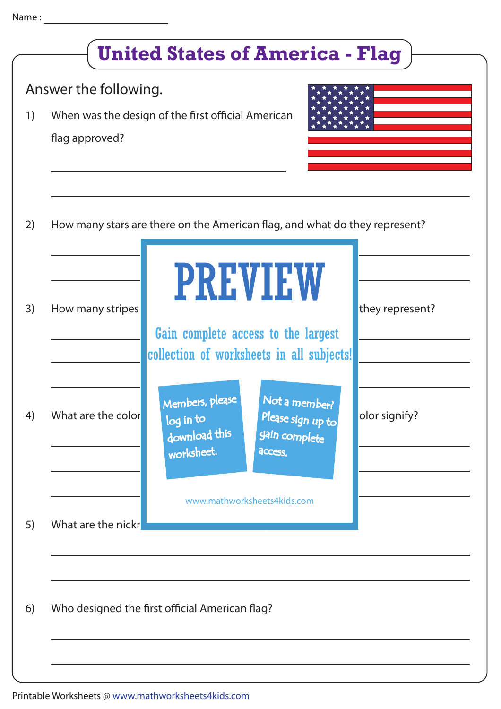|    | Answer the following.                                                      |                                                             |                                                                |                 |
|----|----------------------------------------------------------------------------|-------------------------------------------------------------|----------------------------------------------------------------|-----------------|
| 1) | flag approved?                                                             | When was the design of the first official American          |                                                                |                 |
|    | How many stars are there on the American flag, and what do they represent? |                                                             |                                                                |                 |
|    |                                                                            |                                                             | <b>PREVIEW</b>                                                 |                 |
| 3) | How many stripes                                                           | collection of worksheets in all subjects!                   | Gain complete access to the largest                            | they represent? |
| 4) | What are the color                                                         | Members, please<br>log in to<br>download this<br>worksheet. | Not a member?<br>Please sign up to<br>gain complete<br>access. | olor signify?   |
|    |                                                                            |                                                             |                                                                |                 |
| 5) | What are the nickr                                                         | www.mathworksheets4kids.com                                 |                                                                |                 |
|    |                                                                            |                                                             |                                                                |                 |
|    |                                                                            | Who designed the first official American flag?              |                                                                |                 |
|    |                                                                            |                                                             |                                                                |                 |